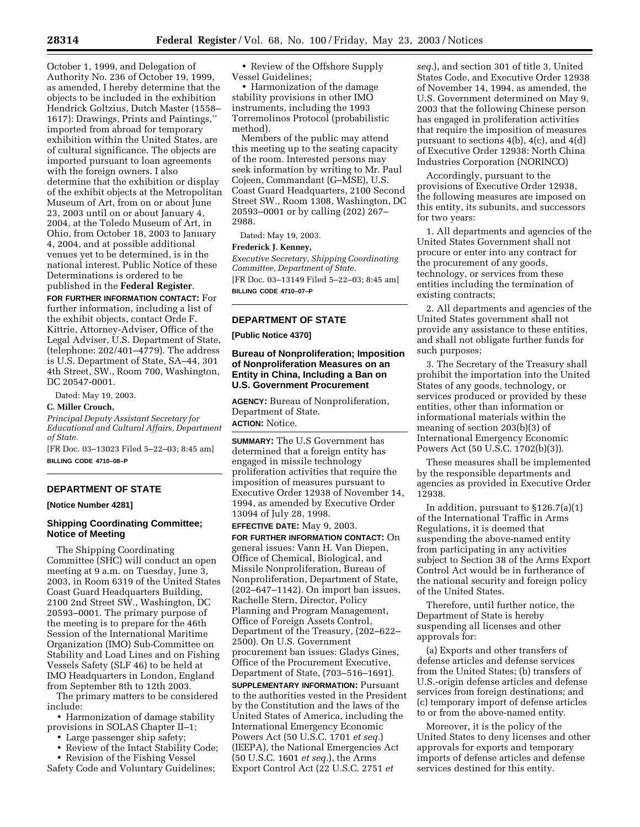October 1, 1999, and Delegation of Authority No. 236 of October 19, 1999, as amended, I hereby determine that the objects to be included in the exhibition Hendrick Goltzius, Dutch Master (1558– 1617): Drawings, Prints and Paintings,'' imported from abroad for temporary exhibition within the United States, are of cultural significance. The objects are imported pursuant to loan agreements with the foreign owners. I also determine that the exhibition or display of the exhibit objects at the Metropolitan Museum of Art, from on or about June 23, 2003 until on or about January 4, 2004, at the Toledo Museum of Art, in Ohio, from October 18, 2003 to January 4, 2004, and at possible additional venues yet to be determined, is in the national interest. Public Notice of these Determinations is ordered to be published in the **Federal Register**.

**FOR FURTHER INFORMATION CONTACT:** For further information, including a list of the exhibit objects, contact Orde F. Kittrie, Attorney-Adviser, Office of the Legal Adviser, U.S. Department of State, (telephone: 202/401–4779). The address is U.S. Department of State, SA–44, 301 4th Street, SW., Room 700, Washington, DC 20547-0001.

Dated: May 19, 2003.

#### **C. Miller Crouch,**

*Principal Deputy Assistant Secretary for Educational and Cultural Affairs, Department of State.*

[FR Doc. 03–13023 Filed 5–22–03; 8:45 am] **BILLING CODE 4710–08–P**

### **DEPARTMENT OF STATE**

#### **[Notice Number 4281]**

# **Shipping Coordinating Committee; Notice of Meeting**

The Shipping Coordinating Committee (SHC) will conduct an open meeting at 9 a.m. on Tuesday, June 3, 2003, in Room 6319 of the United States Coast Guard Headquarters Building, 2100 2nd Street SW., Washington, DC 20593–0001. The primary purpose of the meeting is to prepare for the 46th Session of the International Maritime Organization (IMO) Sub-Committee on Stability and Load Lines and on Fishing Vessels Safety (SLF 46) to be held at IMO Headquarters in London, England from September 8th to 12th 2003.

The primary matters to be considered include:

• Harmonization of damage stability provisions in SOLAS Chapter II–1;

- Large passenger ship safety;
- Review of the Intact Stability Code;
- Revision of the Fishing Vessel

Safety Code and Voluntary Guidelines;

• Review of the Offshore Supply Vessel Guidelines;

• Harmonization of the damage stability provisions in other IMO instruments, including the 1993 Torremolinos Protocol (probabilistic method).

Members of the public may attend this meeting up to the seating capacity of the room. Interested persons may seek information by writing to Mr. Paul Cojeen, Commandant (G–MSE), U.S. Coast Guard Headquarters, 2100 Second Street SW., Room 1308, Washington, DC 20593–0001 or by calling (202) 267– 2988.

Dated: May 19, 2003.

#### **Frederick J. Kenney,**

*Executive Secretary, Shipping Coordinating Committee, Department of State.* [FR Doc. 03–13149 Filed 5–22–03; 8:45 am] **BILLING CODE 4710–07–P**

### **DEPARTMENT OF STATE**

**[Public Notice 4370]** 

# **Bureau of Nonproliferation; Imposition of Nonproliferation Measures on an Entity in China, Including a Ban on U.S. Government Procurement**

**AGENCY:** Bureau of Nonproliferation, Department of State.

# **ACTION:** Notice.

**SUMMARY:** The U.S Government has determined that a foreign entity has engaged in missile technology proliferation activities that require the imposition of measures pursuant to Executive Order 12938 of November 14, 1994, as amended by Executive Order 13094 of July 28, 1998.

**EFFECTIVE DATE:** May 9, 2003.

**FOR FURTHER INFORMATION CONTACT:** On general issues: Vann H. Van Diepen, Office of Chemical, Biological, and Missile Nonproliferation, Bureau of Nonproliferation, Department of State, (202–647–1142). On import ban issues, Rachelle Stern, Director, Policy Planning and Program Management, Office of Foreign Assets Control, Department of the Treasury, (202–622– 2500). On U.S. Government procurement ban issues: Gladys Gines, Office of the Procurement Executive, Department of State, (703–516–1691).

**SUPPLEMENTARY INFORMATION:** Pursuant to the authorities vested in the President by the Constitution and the laws of the United States of America, including the International Emergency Economic Powers Act (50 U.S.C. 1701 *et seq.*) (IEEPA), the National Emergencies Act (50 U.S.C. 1601 *et seq.*), the Arms Export Control Act (22 U.S.C. 2751 *et* 

*seq.*), and section 301 of title 3, United States Code, and Executive Order 12938 of November 14, 1994, as amended, the U.S. Government determined on May 9, 2003 that the following Chinese person has engaged in proliferation activities that require the imposition of measures pursuant to sections 4(b), 4(c), and 4(d) of Executive Order 12938: North China Industries Corporation (NORINCO)

Accordingly, pursuant to the provisions of Executive Order 12938, the following measures are imposed on this entity, its subunits, and successors for two years:

1. All departments and agencies of the United States Government shall not procure or enter into any contract for the procurement of any goods, technology, or services from these entities including the termination of existing contracts;

2. All departments and agencies of the United States government shall not provide any assistance to these entities, and shall not obligate further funds for such purposes;

3. The Secretary of the Treasury shall prohibit the importation into the United States of any goods, technology, or services produced or provided by these entities, other than information or informational materials within the meaning of section 203(b)(3) of International Emergency Economic Powers Act (50 U.S.C. 1702(b)(3)).

These measures shall be implemented by the responsible departments and agencies as provided in Executive Order 12938.

In addition, pursuant to §126.7(a)(1) of the International Traffic in Arms Regulations, it is deemed that suspending the above-named entity from participating in any activities subject to Section 38 of the Arms Export Control Act would be in furtherance of the national security and foreign policy of the United States.

Therefore, until further notice, the Department of State is hereby suspending all licenses and other approvals for:

(a) Exports and other transfers of defense articles and defense services from the United States; (b) transfers of U.S.-origin defense articles and defense services from foreign destinations; and (c) temporary import of defense articles to or from the above-named entity.

Moreover, it is the policy of the United States to deny licenses and other approvals for exports and temporary imports of defense articles and defense services destined for this entity.